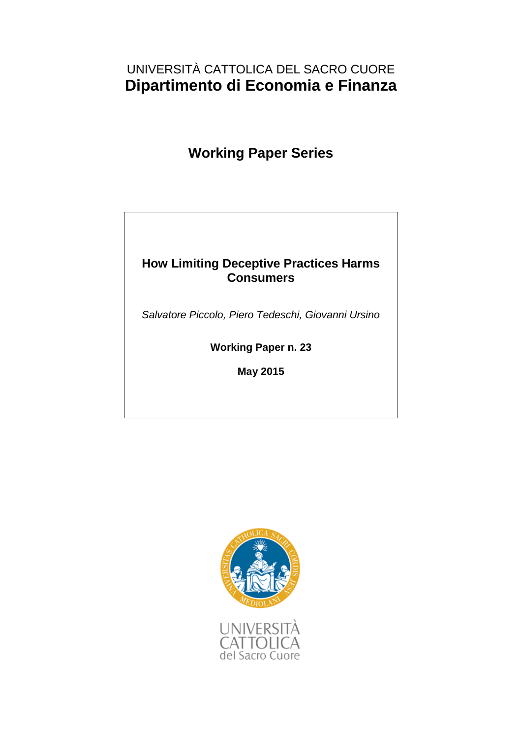# UNIVERSITÀ CATTOLICA DEL SACRO CUORE **Dipartimento di Economia e Finanza**

**Working Paper Series**

# **How Limiting Deceptive Practices Harms Consumers**

*Salvatore Piccolo, Piero Tedeschi, Giovanni Ursino*

**Working Paper n. 23**

**May 2015**

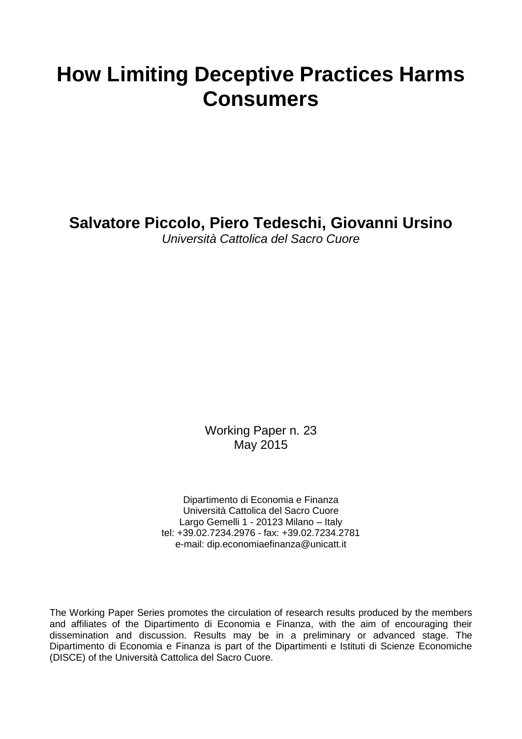# **How Limiting Deceptive Practices Harms Consumers**

**Salvatore Piccolo, Piero Tedeschi, Giovanni Ursino**

*Università Cattolica del Sacro Cuore*

Working Paper n. 23 May 2015

Dipartimento di Economia e Finanza Università Cattolica del Sacro Cuore Largo Gemelli 1 - 20123 Milano – Italy tel: +39.02.7234.2976 - fax: +39.02.7234.2781 e-mail: dip.economiaefinanza@unicatt.it

The Working Paper Series promotes the circulation of research results produced by the members and affiliates of the Dipartimento di Economia e Finanza, with the aim of encouraging their dissemination and discussion. Results may be in a preliminary or advanced stage. The Dipartimento di Economia e Finanza is part of the Dipartimenti e Istituti di Scienze Economiche (DISCE) of the Università Cattolica del Sacro Cuore.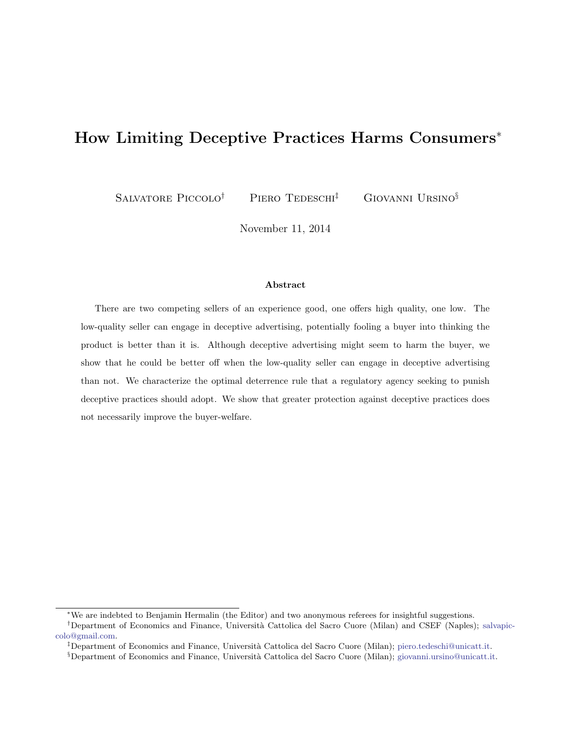# How Limiting Deceptive Practices Harms Consumers<sup>∗</sup>

SALVATORE PICCOLO<sup>†</sup> PIERO TEDESCHI<sup>‡</sup> GIOVANNI URSINO<sup>§</sup>

November 11, 2014

#### Abstract

There are two competing sellers of an experience good, one offers high quality, one low. The low-quality seller can engage in deceptive advertising, potentially fooling a buyer into thinking the product is better than it is. Although deceptive advertising might seem to harm the buyer, we show that he could be better off when the low-quality seller can engage in deceptive advertising than not. We characterize the optimal deterrence rule that a regulatory agency seeking to punish deceptive practices should adopt. We show that greater protection against deceptive practices does not necessarily improve the buyer-welfare.

<sup>∗</sup>We are indebted to Benjamin Hermalin (the Editor) and two anonymous referees for insightful suggestions.

<sup>&</sup>lt;sup>†</sup>Department of Economics and Finance, Università Cattolica del Sacro Cuore (Milan) and CSEF (Naples); [salvapic](mailto:salvapiccolo@gmail.com)[colo@gmail.com.](mailto:salvapiccolo@gmail.com)

<sup>&</sup>lt;sup>‡</sup>Department of Economics and Finance, Università Cattolica del Sacro Cuore (Milan); [piero.tedeschi@unicatt.it.](mailto:piero.tedeschi@unicatt.it)

 $\S$ Department of Economics and Finance, Università Cattolica del Sacro Cuore (Milan); [giovanni.ursino@unicatt.it.](mailto:giovanni.ursino@unicatt.it)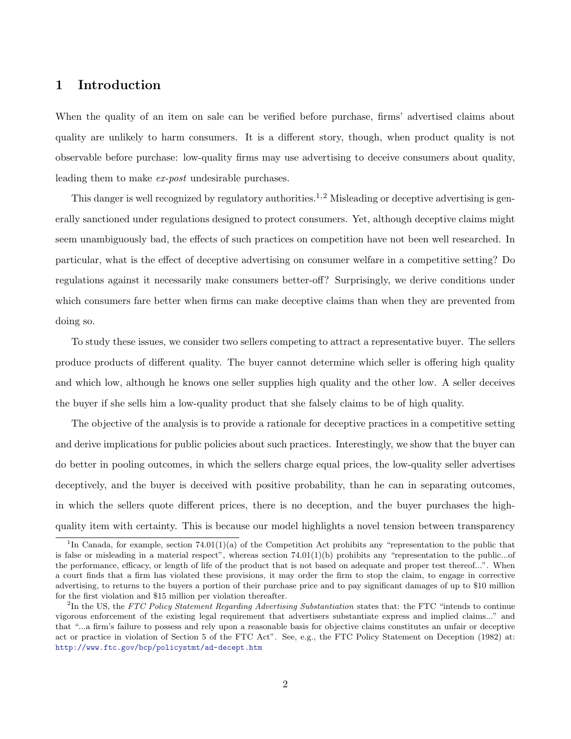# 1 Introduction

When the quality of an item on sale can be verified before purchase, firms' advertised claims about quality are unlikely to harm consumers. It is a different story, though, when product quality is not observable before purchase: low-quality firms may use advertising to deceive consumers about quality, leading them to make ex-post undesirable purchases.

This danger is well recognized by regulatory authorities.<sup>1,2</sup> Misleading or deceptive advertising is generally sanctioned under regulations designed to protect consumers. Yet, although deceptive claims might seem unambiguously bad, the effects of such practices on competition have not been well researched. In particular, what is the effect of deceptive advertising on consumer welfare in a competitive setting? Do regulations against it necessarily make consumers better-off? Surprisingly, we derive conditions under which consumers fare better when firms can make deceptive claims than when they are prevented from doing so.

To study these issues, we consider two sellers competing to attract a representative buyer. The sellers produce products of different quality. The buyer cannot determine which seller is offering high quality and which low, although he knows one seller supplies high quality and the other low. A seller deceives the buyer if she sells him a low-quality product that she falsely claims to be of high quality.

The objective of the analysis is to provide a rationale for deceptive practices in a competitive setting and derive implications for public policies about such practices. Interestingly, we show that the buyer can do better in pooling outcomes, in which the sellers charge equal prices, the low-quality seller advertises deceptively, and the buyer is deceived with positive probability, than he can in separating outcomes, in which the sellers quote different prices, there is no deception, and the buyer purchases the highquality item with certainty. This is because our model highlights a novel tension between transparency

<sup>&</sup>lt;sup>1</sup>In Canada, for example, section  $74.01(1)(a)$  of the Competition Act prohibits any "representation to the public that is false or misleading in a material respect", whereas section  $74.01(1)(b)$  prohibits any "representation to the public...of the performance, efficacy, or length of life of the product that is not based on adequate and proper test thereof...". When a court finds that a firm has violated these provisions, it may order the firm to stop the claim, to engage in corrective advertising, to returns to the buyers a portion of their purchase price and to pay significant damages of up to \$10 million for the first violation and \$15 million per violation thereafter.

 ${}^{2}\text{In}$  the US, the FTC Policy Statement Regarding Advertising Substantiation states that: the FTC "intends to continue vigorous enforcement of the existing legal requirement that advertisers substantiate express and implied claims..." and that "...a firm's failure to possess and rely upon a reasonable basis for objective claims constitutes an unfair or deceptive act or practice in violation of Section 5 of the FTC Act". See, e.g., the FTC Policy Statement on Deception (1982) at: <http://www.ftc.gov/bcp/policystmt/ad-decept.htm>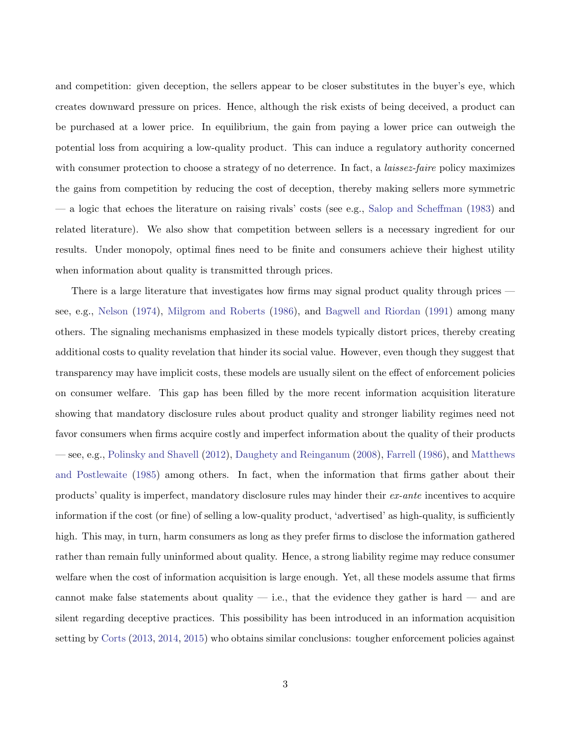and competition: given deception, the sellers appear to be closer substitutes in the buyer's eye, which creates downward pressure on prices. Hence, although the risk exists of being deceived, a product can be purchased at a lower price. In equilibrium, the gain from paying a lower price can outweigh the potential loss from acquiring a low-quality product. This can induce a regulatory authority concerned with consumer protection to choose a strategy of no deterrence. In fact, a *laissez-faire* policy maximizes the gains from competition by reducing the cost of deception, thereby making sellers more symmetric — a logic that echoes the literature on raising rivals' costs (see e.g., [Salop and Scheffman](#page-21-0) [\(1983\)](#page-21-0) and related literature). We also show that competition between sellers is a necessary ingredient for our results. Under monopoly, optimal fines need to be finite and consumers achieve their highest utility when information about quality is transmitted through prices.

There is a large literature that investigates how firms may signal product quality through prices see, e.g., [Nelson](#page-21-1) [\(1974\)](#page-21-1), [Milgrom and Roberts](#page-21-2) [\(1986\)](#page-21-2), and [Bagwell and Riordan](#page-21-3) [\(1991\)](#page-21-3) among many others. The signaling mechanisms emphasized in these models typically distort prices, thereby creating additional costs to quality revelation that hinder its social value. However, even though they suggest that transparency may have implicit costs, these models are usually silent on the effect of enforcement policies on consumer welfare. This gap has been filled by the more recent information acquisition literature showing that mandatory disclosure rules about product quality and stronger liability regimes need not favor consumers when firms acquire costly and imperfect information about the quality of their products — see, e.g., [Polinsky and Shavell](#page-21-4) [\(2012\)](#page-21-4), [Daughety and Reinganum](#page-21-5) [\(2008\)](#page-21-5), [Farrell](#page-21-6) [\(1986\)](#page-21-6), and [Matthews](#page-21-7) [and Postlewaite](#page-21-7) [\(1985\)](#page-21-7) among others. In fact, when the information that firms gather about their products' quality is imperfect, mandatory disclosure rules may hinder their ex-ante incentives to acquire information if the cost (or fine) of selling a low-quality product, 'advertised' as high-quality, is sufficiently high. This may, in turn, harm consumers as long as they prefer firms to disclose the information gathered rather than remain fully uninformed about quality. Hence, a strong liability regime may reduce consumer welfare when the cost of information acquisition is large enough. Yet, all these models assume that firms cannot make false statements about quality  $-$  i.e., that the evidence they gather is hard  $-$  and are silent regarding deceptive practices. This possibility has been introduced in an information acquisition setting by [Corts](#page-21-8) [\(2013,](#page-21-8) [2014,](#page-21-9) [2015\)](#page-21-10) who obtains similar conclusions: tougher enforcement policies against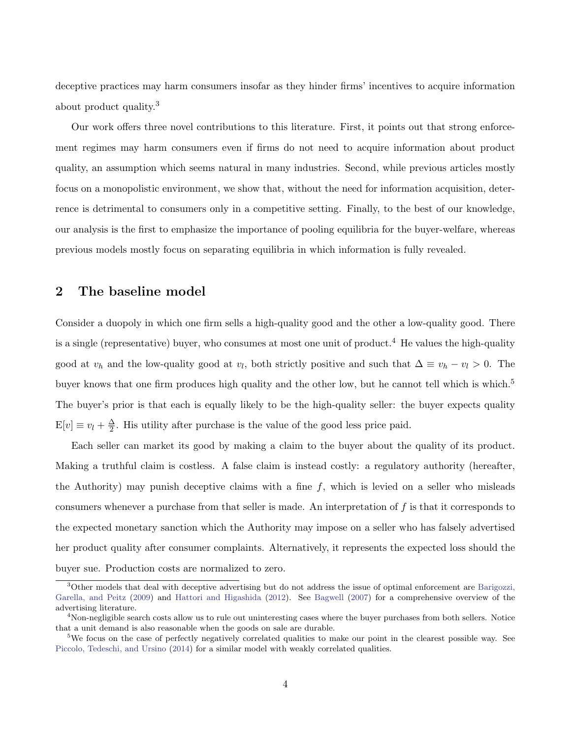deceptive practices may harm consumers insofar as they hinder firms' incentives to acquire information about product quality.<sup>3</sup>

Our work offers three novel contributions to this literature. First, it points out that strong enforcement regimes may harm consumers even if firms do not need to acquire information about product quality, an assumption which seems natural in many industries. Second, while previous articles mostly focus on a monopolistic environment, we show that, without the need for information acquisition, deterrence is detrimental to consumers only in a competitive setting. Finally, to the best of our knowledge, our analysis is the first to emphasize the importance of pooling equilibria for the buyer-welfare, whereas previous models mostly focus on separating equilibria in which information is fully revealed.

## <span id="page-5-0"></span>2 The baseline model

Consider a duopoly in which one firm sells a high-quality good and the other a low-quality good. There is a single (representative) buyer, who consumes at most one unit of product.<sup>4</sup> He values the high-quality good at  $v_h$  and the low-quality good at  $v_l$ , both strictly positive and such that  $\Delta \equiv v_h - v_l > 0$ . The buyer knows that one firm produces high quality and the other low, but he cannot tell which is which.<sup>5</sup> The buyer's prior is that each is equally likely to be the high-quality seller: the buyer expects quality  $E[v] \equiv v_l + \frac{\Delta}{2}$  $\frac{\Delta}{2}$ . His utility after purchase is the value of the good less price paid.

Each seller can market its good by making a claim to the buyer about the quality of its product. Making a truthful claim is costless. A false claim is instead costly: a regulatory authority (hereafter, the Authority) may punish deceptive claims with a fine  $f$ , which is levied on a seller who misleads consumers whenever a purchase from that seller is made. An interpretation of  $f$  is that it corresponds to the expected monetary sanction which the Authority may impose on a seller who has falsely advertised her product quality after consumer complaints. Alternatively, it represents the expected loss should the buyer sue. Production costs are normalized to zero.

<sup>3</sup>Other models that deal with deceptive advertising but do not address the issue of optimal enforcement are [Barigozzi,](#page-21-11) [Garella, and Peitz](#page-21-11) [\(2009\)](#page-21-11) and [Hattori and Higashida](#page-21-12) [\(2012\)](#page-21-12). See [Bagwell](#page-21-13) [\(2007\)](#page-21-13) for a comprehensive overview of the advertising literature.

<sup>4</sup>Non-negligible search costs allow us to rule out uninteresting cases where the buyer purchases from both sellers. Notice that a unit demand is also reasonable when the goods on sale are durable.

<sup>&</sup>lt;sup>5</sup>We focus on the case of perfectly negatively correlated qualities to make our point in the clearest possible way. See [Piccolo, Tedeschi, and Ursino](#page-21-14) [\(2014\)](#page-21-14) for a similar model with weakly correlated qualities.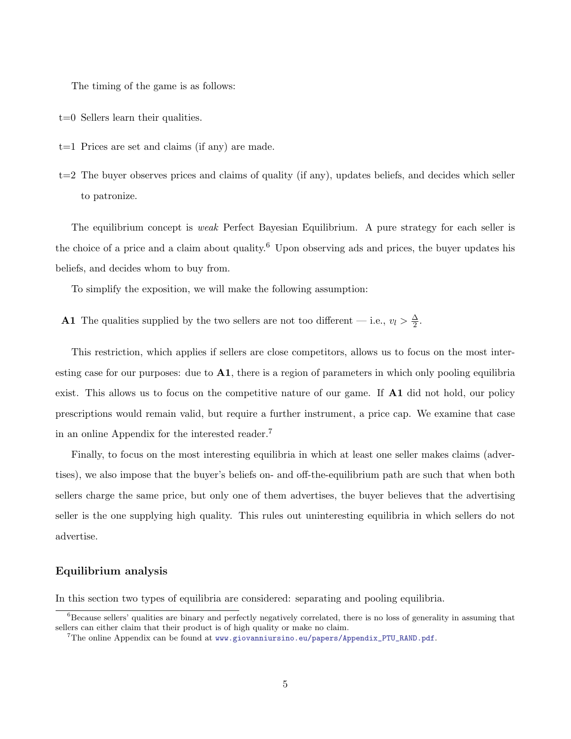The timing of the game is as follows:

- t=0 Sellers learn their qualities.
- t=1 Prices are set and claims (if any) are made.
- $t=2$  The buyer observes prices and claims of quality (if any), updates beliefs, and decides which seller to patronize.

The equilibrium concept is weak Perfect Bayesian Equilibrium. A pure strategy for each seller is the choice of a price and a claim about quality.<sup>6</sup> Upon observing ads and prices, the buyer updates his beliefs, and decides whom to buy from.

To simplify the exposition, we will make the following assumption:

**A1** The qualities supplied by the two sellers are not too different — i.e.,  $v_l > \frac{\Delta}{2}$  $\frac{\Delta}{2}$ .

This restriction, which applies if sellers are close competitors, allows us to focus on the most interesting case for our purposes: due to  $\mathbf{A1}$ , there is a region of parameters in which only pooling equilibria exist. This allows us to focus on the competitive nature of our game. If A1 did not hold, our policy prescriptions would remain valid, but require a further instrument, a price cap. We examine that case in an online Appendix for the interested reader.<sup>7</sup>

Finally, to focus on the most interesting equilibria in which at least one seller makes claims (advertises), we also impose that the buyer's beliefs on- and off-the-equilibrium path are such that when both sellers charge the same price, but only one of them advertises, the buyer believes that the advertising seller is the one supplying high quality. This rules out uninteresting equilibria in which sellers do not advertise.

#### Equilibrium analysis

In this section two types of equilibria are considered: separating and pooling equilibria.

 ${}^{6}$ Because sellers' qualities are binary and perfectly negatively correlated, there is no loss of generality in assuming that sellers can either claim that their product is of high quality or make no claim.

<sup>7</sup>The online Appendix can be found at [www.giovanniursino.eu/papers/Appendix\\_PTU\\_RAND.pdf](www.giovanniursino.eu/papers/Appendix_PTU_RAND.pdf).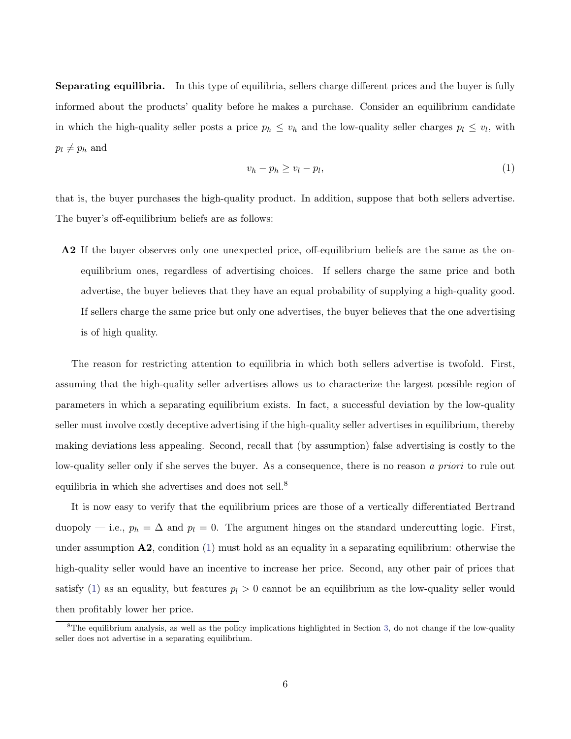Separating equilibria. In this type of equilibria, sellers charge different prices and the buyer is fully informed about the products' quality before he makes a purchase. Consider an equilibrium candidate in which the high-quality seller posts a price  $p_h \leq v_h$  and the low-quality seller charges  $p_l \leq v_l$ , with  $p_l \neq p_h$  and

<span id="page-7-0"></span>
$$
v_h - p_h \ge v_l - p_l,\tag{1}
$$

that is, the buyer purchases the high-quality product. In addition, suppose that both sellers advertise. The buyer's off-equilibrium beliefs are as follows:

A2 If the buyer observes only one unexpected price, off-equilibrium beliefs are the same as the onequilibrium ones, regardless of advertising choices. If sellers charge the same price and both advertise, the buyer believes that they have an equal probability of supplying a high-quality good. If sellers charge the same price but only one advertises, the buyer believes that the one advertising is of high quality.

The reason for restricting attention to equilibria in which both sellers advertise is twofold. First, assuming that the high-quality seller advertises allows us to characterize the largest possible region of parameters in which a separating equilibrium exists. In fact, a successful deviation by the low-quality seller must involve costly deceptive advertising if the high-quality seller advertises in equilibrium, thereby making deviations less appealing. Second, recall that (by assumption) false advertising is costly to the low-quality seller only if she serves the buyer. As a consequence, there is no reason a priori to rule out equilibria in which she advertises and does not sell.<sup>8</sup>

It is now easy to verify that the equilibrium prices are those of a vertically differentiated Bertrand duopoly — i.e.,  $p_h = \Delta$  and  $p_l = 0$ . The argument hinges on the standard undercutting logic. First, under assumption  $\mathbf{A2}$ , condition [\(1\)](#page-7-0) must hold as an equality in a separating equilibrium: otherwise the high-quality seller would have an incentive to increase her price. Second, any other pair of prices that satisfy [\(1\)](#page-7-0) as an equality, but features  $p_l > 0$  cannot be an equilibrium as the low-quality seller would then profitably lower her price.

 ${}^8$ The equilibrium analysis, as well as the policy implications highlighted in Section [3,](#page-12-0) do not change if the low-quality seller does not advertise in a separating equilibrium.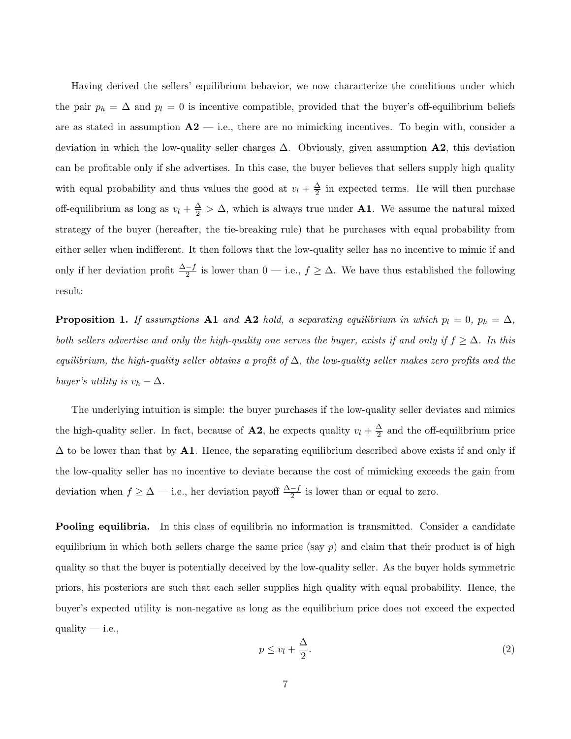Having derived the sellers' equilibrium behavior, we now characterize the conditions under which the pair  $p_h = \Delta$  and  $p_l = 0$  is incentive compatible, provided that the buyer's off-equilibrium beliefs are as stated in assumption  $A2$  — i.e., there are no mimicking incentives. To begin with, consider a deviation in which the low-quality seller charges  $\Delta$ . Obviously, given assumption A2, this deviation can be profitable only if she advertises. In this case, the buyer believes that sellers supply high quality with equal probability and thus values the good at  $v_l + \frac{\Delta}{2}$  $\frac{\Delta}{2}$  in expected terms. He will then purchase off-equilibrium as long as  $v_l + \frac{\Delta}{2} > \Delta$ , which is always true under **A1**. We assume the natural mixed strategy of the buyer (hereafter, the tie-breaking rule) that he purchases with equal probability from either seller when indifferent. It then follows that the low-quality seller has no incentive to mimic if and only if her deviation profit  $\frac{\Delta-f}{2}$  is lower than 0 — i.e.,  $f \geq \Delta$ . We have thus established the following result:

<span id="page-8-1"></span>**Proposition 1.** If assumptions A1 and A2 hold, a separating equilibrium in which  $p_l = 0$ ,  $p_h = \Delta$ , both sellers advertise and only the high-quality one serves the buyer, exists if and only if  $f \geq \Delta$ . In this equilibrium, the high-quality seller obtains a profit of  $\Delta$ , the low-quality seller makes zero profits and the buyer's utility is  $v_h - \Delta$ .

The underlying intuition is simple: the buyer purchases if the low-quality seller deviates and mimics the high-quality seller. In fact, because of **A2**, he expects quality  $v_l + \frac{\Delta}{2}$  $\frac{\Delta}{2}$  and the off-equilibrium price  $\Delta$  to be lower than that by A1. Hence, the separating equilibrium described above exists if and only if the low-quality seller has no incentive to deviate because the cost of mimicking exceeds the gain from deviation when  $f \geq \Delta$  — i.e., her deviation payoff  $\frac{\Delta - f}{2}$  is lower than or equal to zero.

Pooling equilibria. In this class of equilibria no information is transmitted. Consider a candidate equilibrium in which both sellers charge the same price (say  $p$ ) and claim that their product is of high quality so that the buyer is potentially deceived by the low-quality seller. As the buyer holds symmetric priors, his posteriors are such that each seller supplies high quality with equal probability. Hence, the buyer's expected utility is non-negative as long as the equilibrium price does not exceed the expected quality — i.e.,

<span id="page-8-0"></span>
$$
p \le v_l + \frac{\Delta}{2}.\tag{2}
$$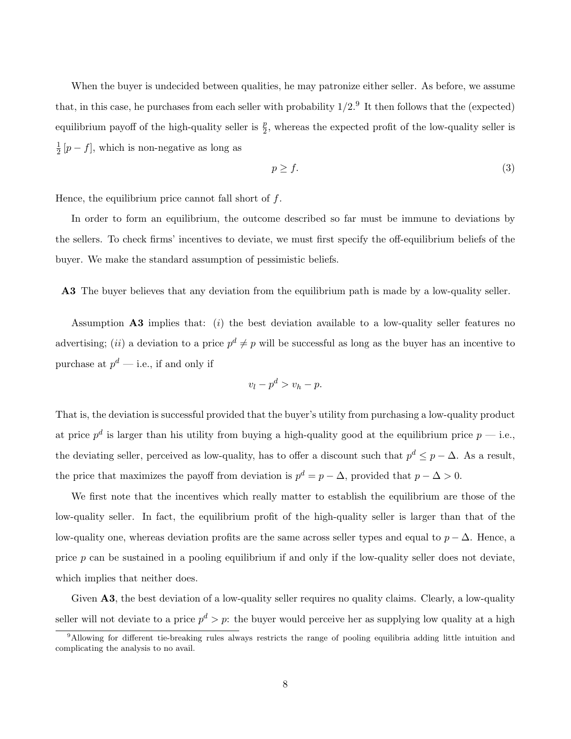When the buyer is undecided between qualities, he may patronize either seller. As before, we assume that, in this case, he purchases from each seller with probability  $1/2$ .<sup>9</sup> It then follows that the (expected) equilibrium payoff of the high-quality seller is  $\frac{p}{2}$ , whereas the expected profit of the low-quality seller is 1  $\frac{1}{2}[p-f]$ , which is non-negative as long as

<span id="page-9-0"></span>
$$
p \ge f. \tag{3}
$$

Hence, the equilibrium price cannot fall short of  $f$ .

In order to form an equilibrium, the outcome described so far must be immune to deviations by the sellers. To check firms' incentives to deviate, we must first specify the off-equilibrium beliefs of the buyer. We make the standard assumption of pessimistic beliefs.

A3 The buyer believes that any deviation from the equilibrium path is made by a low-quality seller.

Assumption  $\bf{A3}$  implies that: (i) the best deviation available to a low-quality seller features no advertising; (ii) a deviation to a price  $p^d \neq p$  will be successful as long as the buyer has an incentive to purchase at  $p^d$  — i.e., if and only if

$$
v_l - p^d > v_h - p.
$$

That is, the deviation is successful provided that the buyer's utility from purchasing a low-quality product at price  $p^d$  is larger than his utility from buying a high-quality good at the equilibrium price  $p$  — i.e., the deviating seller, perceived as low-quality, has to offer a discount such that  $p^d \leq p - \Delta$ . As a result, the price that maximizes the payoff from deviation is  $p^d = p - \Delta$ , provided that  $p - \Delta > 0$ .

We first note that the incentives which really matter to establish the equilibrium are those of the low-quality seller. In fact, the equilibrium profit of the high-quality seller is larger than that of the low-quality one, whereas deviation profits are the same across seller types and equal to  $p - \Delta$ . Hence, a price p can be sustained in a pooling equilibrium if and only if the low-quality seller does not deviate, which implies that neither does.

Given **A3**, the best deviation of a low-quality seller requires no quality claims. Clearly, a low-quality seller will not deviate to a price  $p^d > p$ : the buyer would perceive her as supplying low quality at a high

<sup>9</sup>Allowing for different tie-breaking rules always restricts the range of pooling equilibria adding little intuition and complicating the analysis to no avail.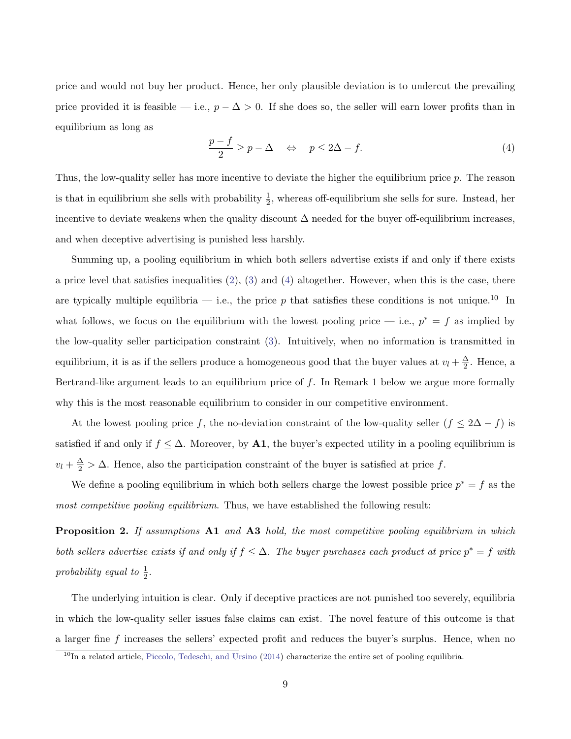price and would not buy her product. Hence, her only plausible deviation is to undercut the prevailing price provided it is feasible — i.e.,  $p - \Delta > 0$ . If she does so, the seller will earn lower profits than in equilibrium as long as

<span id="page-10-0"></span>
$$
\frac{p-f}{2} \ge p - \Delta \quad \Leftrightarrow \quad p \le 2\Delta - f. \tag{4}
$$

Thus, the low-quality seller has more incentive to deviate the higher the equilibrium price p. The reason is that in equilibrium she sells with probability  $\frac{1}{2}$ , whereas off-equilibrium she sells for sure. Instead, her incentive to deviate weakens when the quality discount  $\Delta$  needed for the buyer off-equilibrium increases, and when deceptive advertising is punished less harshly.

Summing up, a pooling equilibrium in which both sellers advertise exists if and only if there exists a price level that satisfies inequalities [\(2\)](#page-8-0), [\(3\)](#page-9-0) and [\(4\)](#page-10-0) altogether. However, when this is the case, there are typically multiple equilibria — i.e., the price p that satisfies these conditions is not unique.<sup>10</sup> In what follows, we focus on the equilibrium with the lowest pooling price — i.e.,  $p^* = f$  as implied by the low-quality seller participation constraint [\(3\)](#page-9-0). Intuitively, when no information is transmitted in equilibrium, it is as if the sellers produce a homogeneous good that the buyer values at  $v_l + \frac{\Delta}{2}$  $\frac{\Delta}{2}$ . Hence, a Bertrand-like argument leads to an equilibrium price of  $f$ . In Remark 1 below we argue more formally why this is the most reasonable equilibrium to consider in our competitive environment.

At the lowest pooling price f, the no-deviation constraint of the low-quality seller  $(f \leq 2\Delta - f)$  is satisfied if and only if  $f \leq \Delta$ . Moreover, by **A1**, the buyer's expected utility in a pooling equilibrium is  $v_l + \frac{\Delta}{2} > \Delta$ . Hence, also the participation constraint of the buyer is satisfied at price f.

We define a pooling equilibrium in which both sellers charge the lowest possible price  $p^* = f$  as the most competitive pooling equilibrium. Thus, we have established the following result:

**Proposition 2.** If assumptions A1 and A3 hold, the most competitive pooling equilibrium in which both sellers advertise exists if and only if  $f \leq \Delta$ . The buyer purchases each product at price  $p^* = f$  with probability equal to  $\frac{1}{2}$ .

The underlying intuition is clear. Only if deceptive practices are not punished too severely, equilibria in which the low-quality seller issues false claims can exist. The novel feature of this outcome is that a larger fine f increases the sellers' expected profit and reduces the buyer's surplus. Hence, when no

 $10$ In a related article, [Piccolo, Tedeschi, and Ursino](#page-21-14) [\(2014\)](#page-21-14) characterize the entire set of pooling equilibria.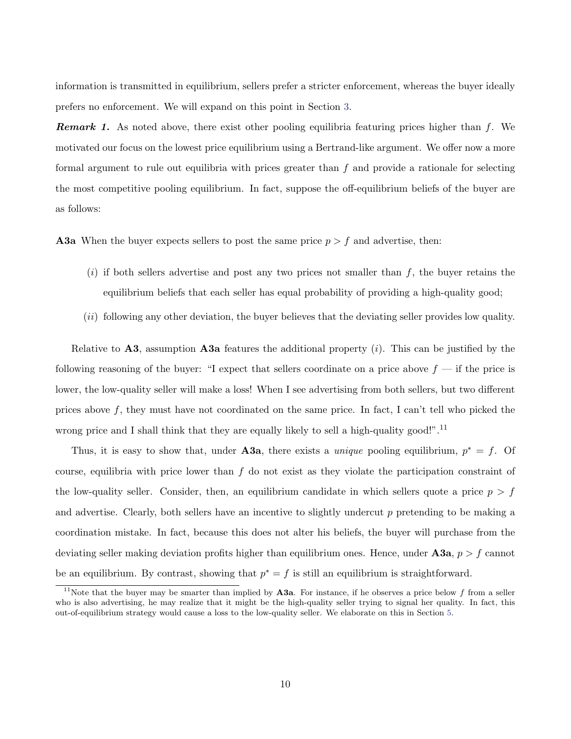information is transmitted in equilibrium, sellers prefer a stricter enforcement, whereas the buyer ideally prefers no enforcement. We will expand on this point in Section [3.](#page-12-0)

**Remark 1.** As noted above, there exist other pooling equilibria featuring prices higher than  $f$ . We motivated our focus on the lowest price equilibrium using a Bertrand-like argument. We offer now a more formal argument to rule out equilibria with prices greater than  $f$  and provide a rationale for selecting the most competitive pooling equilibrium. In fact, suppose the off-equilibrium beliefs of the buyer are as follows:

**A3a** When the buyer expects sellers to post the same price  $p > f$  and advertise, then:

- $(i)$  if both sellers advertise and post any two prices not smaller than f, the buyer retains the equilibrium beliefs that each seller has equal probability of providing a high-quality good;
- (ii) following any other deviation, the buyer believes that the deviating seller provides low quality.

Relative to A3, assumption A3a features the additional property  $(i)$ . This can be justified by the following reasoning of the buyer: "I expect that sellers coordinate on a price above  $f$  — if the price is lower, the low-quality seller will make a loss! When I see advertising from both sellers, but two different prices above  $f$ , they must have not coordinated on the same price. In fact, I can't tell who picked the wrong price and I shall think that they are equally likely to sell a high-quality good!".<sup>11</sup>

Thus, it is easy to show that, under **A3a**, there exists a *unique* pooling equilibrium,  $p^* = f$ . Of course, equilibria with price lower than  $f$  do not exist as they violate the participation constraint of the low-quality seller. Consider, then, an equilibrium candidate in which sellers quote a price  $p > f$ and advertise. Clearly, both sellers have an incentive to slightly undercut p pretending to be making a coordination mistake. In fact, because this does not alter his beliefs, the buyer will purchase from the deviating seller making deviation profits higher than equilibrium ones. Hence, under  $\mathbf{A3a}, p > f$  cannot be an equilibrium. By contrast, showing that  $p^* = f$  is still an equilibrium is straightforward.

<sup>&</sup>lt;sup>11</sup>Note that the buyer may be smarter than implied by **A3a**. For instance, if he observes a price below f from a seller who is also advertising, he may realize that it might be the high-quality seller trying to signal her quality. In fact, this out-of-equilibrium strategy would cause a loss to the low-quality seller. We elaborate on this in Section [5.](#page-16-0)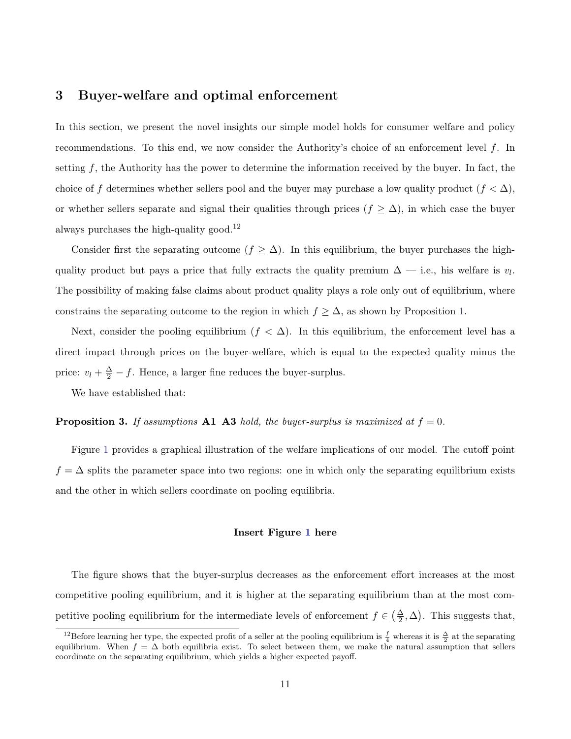## <span id="page-12-0"></span>3 Buyer-welfare and optimal enforcement

In this section, we present the novel insights our simple model holds for consumer welfare and policy recommendations. To this end, we now consider the Authority's choice of an enforcement level f. In setting  $f$ , the Authority has the power to determine the information received by the buyer. In fact, the choice of f determines whether sellers pool and the buyer may purchase a low quality product  $(f < \Delta)$ , or whether sellers separate and signal their qualities through prices  $(f \geq \Delta)$ , in which case the buyer always purchases the high-quality good.<sup>12</sup>

Consider first the separating outcome  $(f \geq \Delta)$ . In this equilibrium, the buyer purchases the highquality product but pays a price that fully extracts the quality premium  $\Delta$  — i.e., his welfare is  $v_l$ . The possibility of making false claims about product quality plays a role only out of equilibrium, where constrains the separating outcome to the region in which  $f \geq \Delta$ , as shown by Proposition [1.](#page-8-1)

Next, consider the pooling equilibrium  $(f < \Delta)$ . In this equilibrium, the enforcement level has a direct impact through prices on the buyer-welfare, which is equal to the expected quality minus the price:  $v_l + \frac{\Delta}{2} - f$ . Hence, a larger fine reduces the buyer-surplus.

We have established that:

#### <span id="page-12-1"></span>**Proposition 3.** If assumptions  $A1-A3$  hold, the buyer-surplus is maximized at  $f = 0$ .

Figure [1](#page-22-0) provides a graphical illustration of the welfare implications of our model. The cutoff point  $f = \Delta$  splits the parameter space into two regions: one in which only the separating equilibrium exists and the other in which sellers coordinate on pooling equilibria.

#### Insert Figure [1](#page-22-0) here

The figure shows that the buyer-surplus decreases as the enforcement effort increases at the most competitive pooling equilibrium, and it is higher at the separating equilibrium than at the most competitive pooling equilibrium for the intermediate levels of enforcement  $f \in (\frac{\Delta}{2}, \Delta)$ . This suggests that,

<sup>&</sup>lt;sup>12</sup>Before learning her type, the expected profit of a seller at the pooling equilibrium is  $\frac{f}{4}$  whereas it is  $\frac{\Delta}{2}$  at the separating equilibrium. When  $f = \Delta$  both equilibria exist. To select between them, we make the natural assumption that sellers coordinate on the separating equilibrium, which yields a higher expected payoff.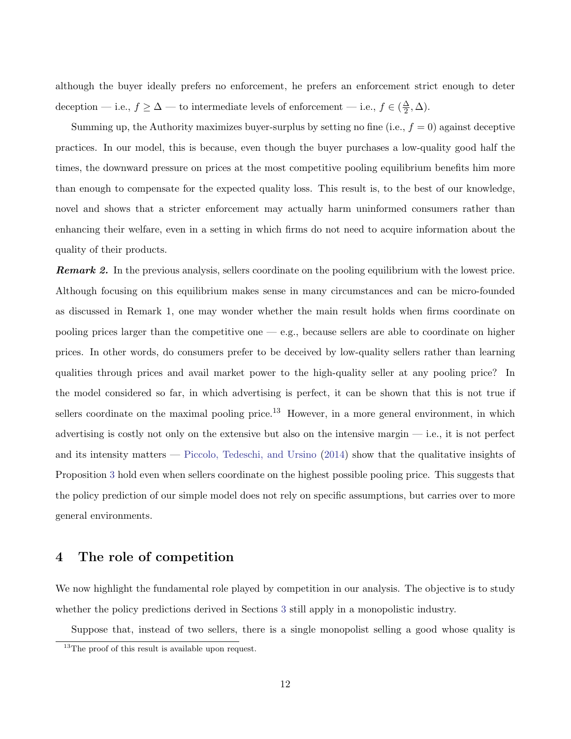although the buyer ideally prefers no enforcement, he prefers an enforcement strict enough to deter deception — i.e.,  $f \geq \Delta$  — to intermediate levels of enforcement — i.e.,  $f \in (\frac{\Delta}{2})$  $\frac{\Delta}{2}, \Delta$ ).

Summing up, the Authority maximizes buyer-surplus by setting no fine (i.e.,  $f = 0$ ) against deceptive practices. In our model, this is because, even though the buyer purchases a low-quality good half the times, the downward pressure on prices at the most competitive pooling equilibrium benefits him more than enough to compensate for the expected quality loss. This result is, to the best of our knowledge, novel and shows that a stricter enforcement may actually harm uninformed consumers rather than enhancing their welfare, even in a setting in which firms do not need to acquire information about the quality of their products.

**Remark 2.** In the previous analysis, sellers coordinate on the pooling equilibrium with the lowest price. Although focusing on this equilibrium makes sense in many circumstances and can be micro-founded as discussed in Remark 1, one may wonder whether the main result holds when firms coordinate on pooling prices larger than the competitive one  $-$  e.g., because sellers are able to coordinate on higher prices. In other words, do consumers prefer to be deceived by low-quality sellers rather than learning qualities through prices and avail market power to the high-quality seller at any pooling price? In the model considered so far, in which advertising is perfect, it can be shown that this is not true if sellers coordinate on the maximal pooling price.<sup>13</sup> However, in a more general environment, in which advertising is costly not only on the extensive but also on the intensive margin — i.e., it is not perfect and its intensity matters — [Piccolo, Tedeschi, and Ursino](#page-21-14) [\(2014\)](#page-21-14) show that the qualitative insights of Proposition [3](#page-12-1) hold even when sellers coordinate on the highest possible pooling price. This suggests that the policy prediction of our simple model does not rely on specific assumptions, but carries over to more general environments.

# 4 The role of competition

We now highlight the fundamental role played by competition in our analysis. The objective is to study whether the policy predictions derived in Sections [3](#page-12-0) still apply in a monopolistic industry.

Suppose that, instead of two sellers, there is a single monopolist selling a good whose quality is

<sup>&</sup>lt;sup>13</sup>The proof of this result is available upon request.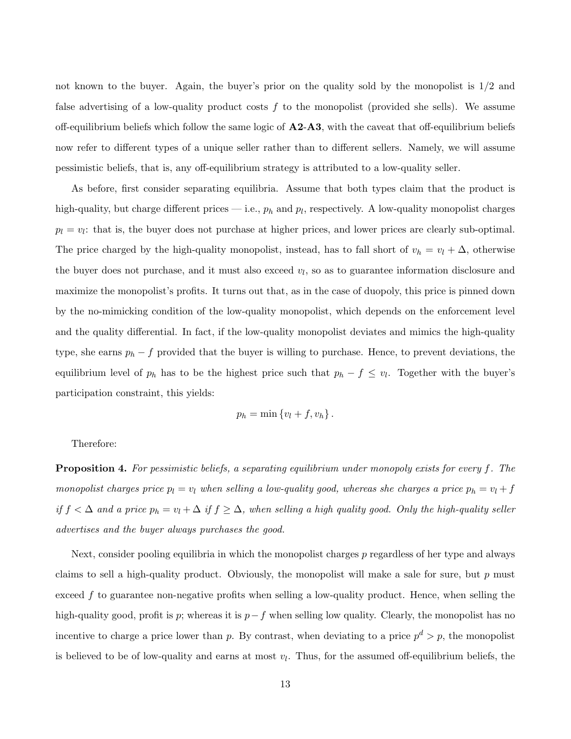not known to the buyer. Again, the buyer's prior on the quality sold by the monopolist is  $1/2$  and false advertising of a low-quality product costs  $f$  to the monopolist (provided she sells). We assume off-equilibrium beliefs which follow the same logic of  $\mathbf{A2}\text{-}\mathbf{A3}$ , with the caveat that off-equilibrium beliefs now refer to different types of a unique seller rather than to different sellers. Namely, we will assume pessimistic beliefs, that is, any off-equilibrium strategy is attributed to a low-quality seller.

As before, first consider separating equilibria. Assume that both types claim that the product is high-quality, but charge different prices — i.e.,  $p_h$  and  $p_l$ , respectively. A low-quality monopolist charges  $p_l = v_l$ : that is, the buyer does not purchase at higher prices, and lower prices are clearly sub-optimal. The price charged by the high-quality monopolist, instead, has to fall short of  $v_h = v_l + \Delta$ , otherwise the buyer does not purchase, and it must also exceed  $v_l$ , so as to guarantee information disclosure and maximize the monopolist's profits. It turns out that, as in the case of duopoly, this price is pinned down by the no-mimicking condition of the low-quality monopolist, which depends on the enforcement level and the quality differential. In fact, if the low-quality monopolist deviates and mimics the high-quality type, she earns  $p_h - f$  provided that the buyer is willing to purchase. Hence, to prevent deviations, the equilibrium level of  $p_h$  has to be the highest price such that  $p_h - f \leq v_l$ . Together with the buyer's participation constraint, this yields:

$$
p_h = \min \left\{ v_l + f, v_h \right\}.
$$

Therefore:

<span id="page-14-0"></span>**Proposition 4.** For pessimistic beliefs, a separating equilibrium under monopoly exists for every f. The monopolist charges price  $p_l = v_l$  when selling a low-quality good, whereas she charges a price  $p_h = v_l + f$ if  $f < \Delta$  and a price  $p_h = v_l + \Delta$  if  $f \geq \Delta$ , when selling a high quality good. Only the high-quality seller advertises and the buyer always purchases the good.

Next, consider pooling equilibria in which the monopolist charges  $p$  regardless of her type and always claims to sell a high-quality product. Obviously, the monopolist will make a sale for sure, but  $p$  must exceed  $f$  to guarantee non-negative profits when selling a low-quality product. Hence, when selling the high-quality good, profit is p; whereas it is  $p-f$  when selling low quality. Clearly, the monopolist has no incentive to charge a price lower than p. By contrast, when deviating to a price  $p^d > p$ , the monopolist is believed to be of low-quality and earns at most  $v_l$ . Thus, for the assumed off-equilibrium beliefs, the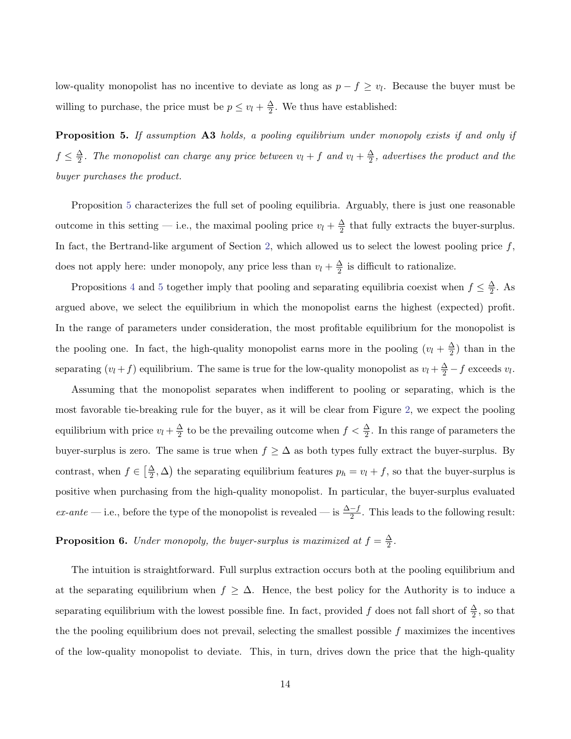low-quality monopolist has no incentive to deviate as long as  $p - f \geq v_l$ . Because the buyer must be willing to purchase, the price must be  $p \leq v_l + \frac{\Delta}{2}$  $\frac{\Delta}{2}$ . We thus have established:

<span id="page-15-0"></span>Proposition 5. If assumption A3 holds, a pooling equilibrium under monopoly exists if and only if  $f \leq \frac{\Delta}{2}$  $\frac{\Delta}{2}$ . The monopolist can charge any price between  $v_l + f$  and  $v_l + \frac{\Delta}{2}$  $\frac{\Delta}{2}$ , advertises the product and the buyer purchases the product.

Proposition [5](#page-15-0) characterizes the full set of pooling equilibria. Arguably, there is just one reasonable outcome in this setting — i.e., the maximal pooling price  $v_l + \frac{\Delta}{2}$  $\frac{\Delta}{2}$  that fully extracts the buyer-surplus. In fact, the Bertrand-like argument of Section [2,](#page-5-0) which allowed us to select the lowest pooling price  $f$ , does not apply here: under monopoly, any price less than  $v_l + \frac{\Delta}{2}$  $\frac{\Delta}{2}$  is difficult to rationalize.

Propositions [4](#page-14-0) and [5](#page-15-0) together imply that pooling and separating equilibria coexist when  $f \leq \frac{\Delta}{2}$  $\frac{\Delta}{2}$ . As argued above, we select the equilibrium in which the monopolist earns the highest (expected) profit. In the range of parameters under consideration, the most profitable equilibrium for the monopolist is the pooling one. In fact, the high-quality monopolist earns more in the pooling  $(v_l + \frac{\Delta}{2})$  $\frac{\Delta}{2}$ ) than in the separating  $(v_l + f)$  equilibrium. The same is true for the low-quality monopolist as  $v_l + \frac{\Delta}{2} - f$  exceeds  $v_l$ .

Assuming that the monopolist separates when indifferent to pooling or separating, which is the most favorable tie-breaking rule for the buyer, as it will be clear from Figure [2,](#page-22-1) we expect the pooling equilibrium with price  $v_l + \frac{\Delta}{2}$  $\frac{\Delta}{2}$  to be the prevailing outcome when  $f < \frac{\Delta}{2}$ . In this range of parameters the buyer-surplus is zero. The same is true when  $f \geq \Delta$  as both types fully extract the buyer-surplus. By contrast, when  $f \in \left[\frac{\Delta}{2}\right]$  $(\frac{\Delta}{2}, \Delta)$  the separating equilibrium features  $p_h = v_l + f$ , so that the buyer-surplus is positive when purchasing from the high-quality monopolist. In particular, the buyer-surplus evaluated ex-ante — i.e., before the type of the monopolist is revealed — is  $\frac{\Delta-f}{2}$ . This leads to the following result:

#### **Proposition 6.** Under monopoly, the buyer-surplus is maximized at  $f = \frac{\Delta}{2}$  $\frac{\Delta}{2}$  .

The intuition is straightforward. Full surplus extraction occurs both at the pooling equilibrium and at the separating equilibrium when  $f \geq \Delta$ . Hence, the best policy for the Authority is to induce a separating equilibrium with the lowest possible fine. In fact, provided f does not fall short of  $\frac{\Delta}{2}$ , so that the the pooling equilibrium does not prevail, selecting the smallest possible  $f$  maximizes the incentives of the low-quality monopolist to deviate. This, in turn, drives down the price that the high-quality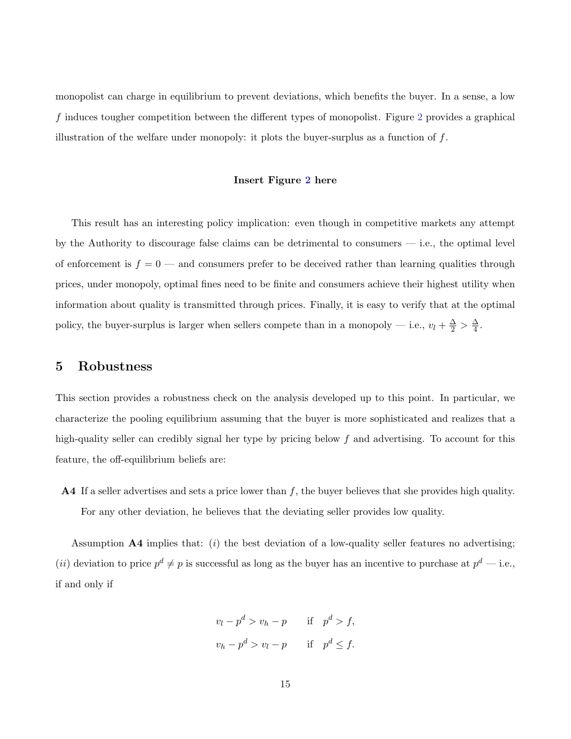monopolist can charge in equilibrium to prevent deviations, which benefits the buyer. In a sense, a low f induces tougher competition between the different types of monopolist. Figure [2](#page-22-1) provides a graphical illustration of the welfare under monopoly: it plots the buyer-surplus as a function of  $f$ .

#### Insert Figure [2](#page-22-1) here

This result has an interesting policy implication: even though in competitive markets any attempt by the Authority to discourage false claims can be detrimental to consumers — i.e., the optimal level of enforcement is  $f = 0$  — and consumers prefer to be deceived rather than learning qualities through prices, under monopoly, optimal fines need to be finite and consumers achieve their highest utility when information about quality is transmitted through prices. Finally, it is easy to verify that at the optimal policy, the buyer-surplus is larger when sellers compete than in a monopoly — i.e.,  $v_l + \frac{\Delta}{2} > \frac{\Delta}{4}$  $\frac{\Delta}{4}$  .

# <span id="page-16-0"></span>5 Robustness

This section provides a robustness check on the analysis developed up to this point. In particular, we characterize the pooling equilibrium assuming that the buyer is more sophisticated and realizes that a high-quality seller can credibly signal her type by pricing below  $f$  and advertising. To account for this feature, the off-equilibrium beliefs are:

 $\mathbf{A4}$  If a seller advertises and sets a price lower than f, the buyer believes that she provides high quality. For any other deviation, he believes that the deviating seller provides low quality.

Assumption  $\mathbf{A4}$  implies that: (i) the best deviation of a low-quality seller features no advertising; (*ii*) deviation to price  $p^d \neq p$  is successful as long as the buyer has an incentive to purchase at  $p^d$  - i.e., if and only if

$$
v_l - p^d > v_h - p \quad \text{if} \quad p^d > f,
$$
  

$$
v_h - p^d > v_l - p \quad \text{if} \quad p^d \le f.
$$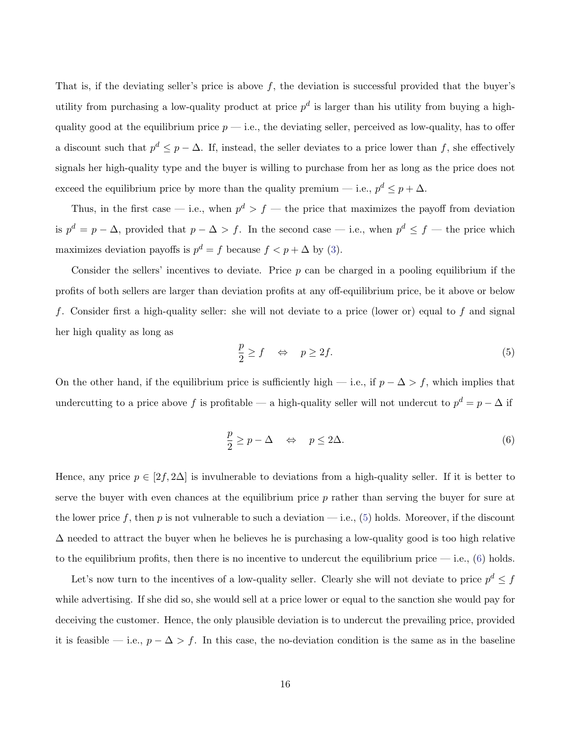That is, if the deviating seller's price is above  $f$ , the deviation is successful provided that the buyer's utility from purchasing a low-quality product at price  $p^d$  is larger than his utility from buying a highquality good at the equilibrium price  $p - i.e.,$  the deviating seller, perceived as low-quality, has to offer a discount such that  $p^d \leq p - \Delta$ . If, instead, the seller deviates to a price lower than f, she effectively signals her high-quality type and the buyer is willing to purchase from her as long as the price does not exceed the equilibrium price by more than the quality premium — i.e.,  $p^d \leq p + \Delta$ .

Thus, in the first case — i.e., when  $p^d > f$  — the price that maximizes the payoff from deviation is  $p^d = p - \Delta$ , provided that  $p - \Delta > f$ . In the second case — i.e., when  $p^d \le f$  — the price which maximizes deviation payoffs is  $p^d = f$  because  $f < p + \Delta$  by [\(3\)](#page-9-0).

Consider the sellers' incentives to deviate. Price  $p$  can be charged in a pooling equilibrium if the profits of both sellers are larger than deviation profits at any off-equilibrium price, be it above or below f. Consider first a high-quality seller: she will not deviate to a price (lower or) equal to f and signal her high quality as long as

<span id="page-17-0"></span>
$$
\frac{p}{2} \ge f \quad \Leftrightarrow \quad p \ge 2f. \tag{5}
$$

On the other hand, if the equilibrium price is sufficiently high — i.e., if  $p - \Delta > f$ , which implies that undercutting to a price above f is profitable — a high-quality seller will not undercut to  $p^d = p - \Delta$  if

<span id="page-17-1"></span>
$$
\frac{p}{2} \ge p - \Delta \quad \Leftrightarrow \quad p \le 2\Delta. \tag{6}
$$

Hence, any price  $p \in [2f, 2\Delta]$  is invulnerable to deviations from a high-quality seller. If it is better to serve the buyer with even chances at the equilibrium price  $p$  rather than serving the buyer for sure at the lower price f, then p is not vulnerable to such a deviation  $-$  i.e., [\(5\)](#page-17-0) holds. Moreover, if the discount  $\Delta$  needed to attract the buyer when he believes he is purchasing a low-quality good is too high relative to the equilibrium profits, then there is no incentive to undercut the equilibrium price  $-$  i.e., [\(6\)](#page-17-1) holds.

Let's now turn to the incentives of a low-quality seller. Clearly she will not deviate to price  $p^d \leq f$ while advertising. If she did so, she would sell at a price lower or equal to the sanction she would pay for deceiving the customer. Hence, the only plausible deviation is to undercut the prevailing price, provided it is feasible — i.e.,  $p - \Delta > f$ . In this case, the no-deviation condition is the same as in the baseline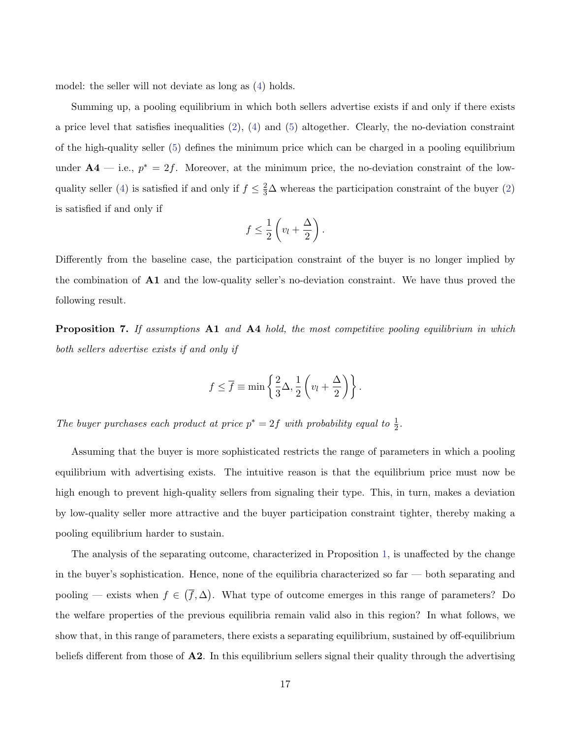model: the seller will not deviate as long as [\(4\)](#page-10-0) holds.

Summing up, a pooling equilibrium in which both sellers advertise exists if and only if there exists a price level that satisfies inequalities [\(2\)](#page-8-0), [\(4\)](#page-10-0) and [\(5\)](#page-17-0) altogether. Clearly, the no-deviation constraint of the high-quality seller [\(5\)](#page-17-0) defines the minimum price which can be charged in a pooling equilibrium under  $A_4$  — i.e.,  $p^* = 2f$ . Moreover, at the minimum price, the no-deviation constraint of the low-quality seller [\(4\)](#page-10-0) is satisfied if and only if  $f \leq \frac{2}{3}\Delta$  whereas the participation constraint of the buyer [\(2\)](#page-8-0) is satisfied if and only if

$$
f \leq \frac{1}{2} \left( v_l + \frac{\Delta}{2} \right).
$$

Differently from the baseline case, the participation constraint of the buyer is no longer implied by the combination of A1 and the low-quality seller's no-deviation constraint. We have thus proved the following result.

<span id="page-18-0"></span>**Proposition 7.** If assumptions A1 and A4 hold, the most competitive pooling equilibrium in which both sellers advertise exists if and only if

$$
f \leq \overline{f} \equiv \min \left\{ \frac{2}{3} \Delta, \frac{1}{2} \left( v_l + \frac{\Delta}{2} \right) \right\}.
$$

The buyer purchases each product at price  $p^* = 2f$  with probability equal to  $\frac{1}{2}$ .

Assuming that the buyer is more sophisticated restricts the range of parameters in which a pooling equilibrium with advertising exists. The intuitive reason is that the equilibrium price must now be high enough to prevent high-quality sellers from signaling their type. This, in turn, makes a deviation by low-quality seller more attractive and the buyer participation constraint tighter, thereby making a pooling equilibrium harder to sustain.

The analysis of the separating outcome, characterized in Proposition [1,](#page-8-1) is unaffected by the change in the buyer's sophistication. Hence, none of the equilibria characterized so far  $-$  both separating and pooling — exists when  $f \in (\overline{f}, \Delta)$ . What type of outcome emerges in this range of parameters? Do the welfare properties of the previous equilibria remain valid also in this region? In what follows, we show that, in this range of parameters, there exists a separating equilibrium, sustained by off-equilibrium beliefs different from those of  $\mathbf{A2}$ . In this equilibrium sellers signal their quality through the advertising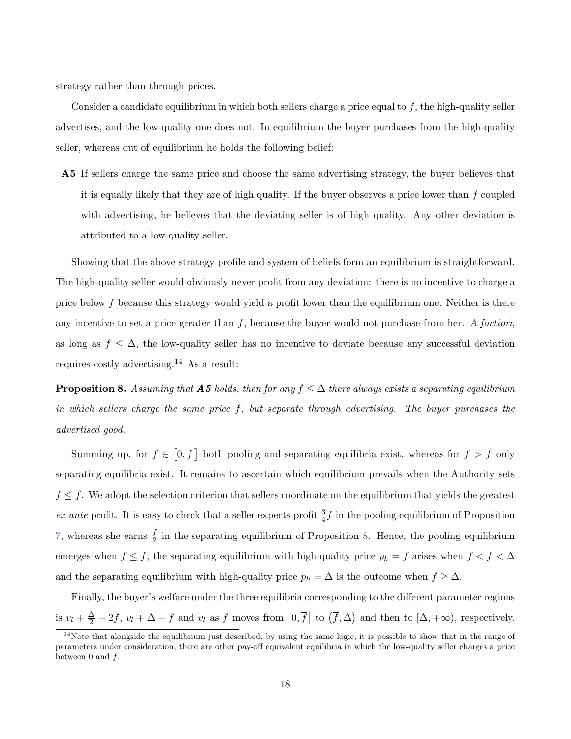strategy rather than through prices.

Consider a candidate equilibrium in which both sellers charge a price equal to  $f$ , the high-quality seller advertises, and the low-quality one does not. In equilibrium the buyer purchases from the high-quality seller, whereas out of equilibrium he holds the following belief:

A5 If sellers charge the same price and choose the same advertising strategy, the buyer believes that it is equally likely that they are of high quality. If the buyer observes a price lower than  $f$  coupled with advertising, he believes that the deviating seller is of high quality. Any other deviation is attributed to a low-quality seller.

Showing that the above strategy profile and system of beliefs form an equilibrium is straightforward. The high-quality seller would obviously never profit from any deviation: there is no incentive to charge a price below f because this strategy would yield a profit lower than the equilibrium one. Neither is there any incentive to set a price greater than  $f$ , because the buyer would not purchase from her. A fortiori, as long as  $f \leq \Delta$ , the low-quality seller has no incentive to deviate because any successful deviation requires costly advertising.<sup>14</sup> As a result:

<span id="page-19-0"></span>**Proposition 8.** Assuming that **A5** holds, then for any  $f \leq \Delta$  there always exists a separating equilibrium in which sellers charge the same price f, but separate through advertising. The buyer purchases the advertised good.

Summing up, for  $f \in [0, \overline{f}]$  both pooling and separating equilibria exist, whereas for  $f > \overline{f}$  only separating equilibria exist. It remains to ascertain which equilibrium prevails when the Authority sets  $f \leq \overline{f}$ . We adopt the selection criterion that sellers coordinate on the equilibrium that yields the greatest ex-ante profit. It is easy to check that a seller expects profit  $\frac{3}{4}f$  in the pooling equilibrium of Proposition [7,](#page-18-0) whereas she earns  $\frac{f}{2}$  in the separating equilibrium of Proposition [8.](#page-19-0) Hence, the pooling equilibrium emerges when  $f \leq \overline{f}$ , the separating equilibrium with high-quality price  $p_h = f$  arises when  $\overline{f} < f < \Delta$ and the separating equilibrium with high-quality price  $p_h = \Delta$  is the outcome when  $f \geq \Delta$ .

Finally, the buyer's welfare under the three equilibria corresponding to the different parameter regions is  $v_l + \frac{\Delta}{2} - 2f$ ,  $v_l + \Delta - f$  and  $v_l$  as f moves from  $[0, \overline{f}]$  to  $(\overline{f}, \Delta)$  and then to  $[\Delta, +\infty)$ , respectively.

 $14$ Note that alongside the equilibrium just described, by using the same logic, it is possible to show that in the range of parameters under consideration, there are other pay-off equivalent equilibria in which the low-quality seller charges a price between 0 and  $f$ .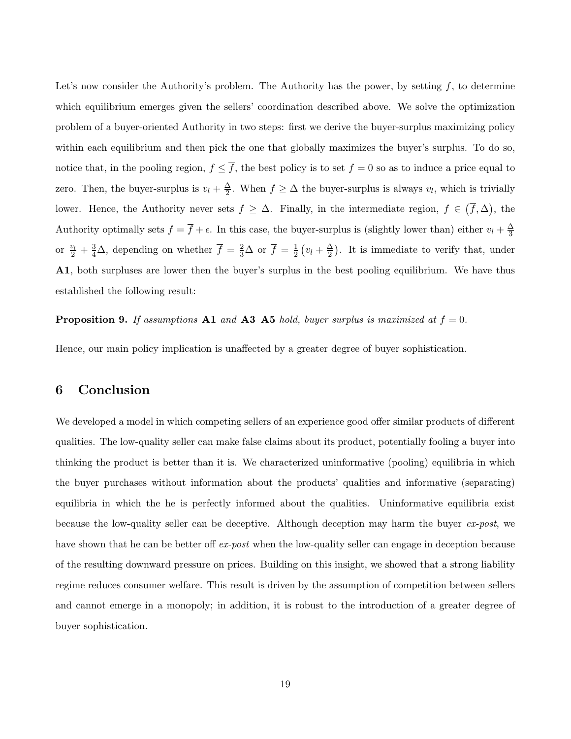Let's now consider the Authority's problem. The Authority has the power, by setting  $f$ , to determine which equilibrium emerges given the sellers' coordination described above. We solve the optimization problem of a buyer-oriented Authority in two steps: first we derive the buyer-surplus maximizing policy within each equilibrium and then pick the one that globally maximizes the buyer's surplus. To do so, notice that, in the pooling region,  $f \leq \overline{f}$ , the best policy is to set  $f = 0$  so as to induce a price equal to zero. Then, the buyer-surplus is  $v_l + \frac{\Delta}{2}$  $\frac{\Delta}{2}$ . When  $f \geq \Delta$  the buyer-surplus is always  $v_l$ , which is trivially lower. Hence, the Authority never sets  $f \geq \Delta$ . Finally, in the intermediate region,  $f \in (\overline{f}, \Delta)$ , the Authority optimally sets  $f = \overline{f} + \epsilon$ . In this case, the buyer-surplus is (slightly lower than) either  $v_l + \frac{\Delta}{3}$ 3 or  $\frac{v_l}{2} + \frac{3}{4}\Delta$ , depending on whether  $\overline{f} = \frac{2}{3}\Delta$  or  $\overline{f} = \frac{1}{2}$  $rac{1}{2}(v_l + \frac{\Delta}{2})$  $\frac{\Delta}{2}$ ). It is immediate to verify that, under A1, both surpluses are lower then the buyer's surplus in the best pooling equilibrium. We have thus established the following result:

**Proposition 9.** If assumptions **A1** and **A3–A5** hold, buyer surplus is maximized at  $f = 0$ .

Hence, our main policy implication is unaffected by a greater degree of buyer sophistication.

# 6 Conclusion

We developed a model in which competing sellers of an experience good offer similar products of different qualities. The low-quality seller can make false claims about its product, potentially fooling a buyer into thinking the product is better than it is. We characterized uninformative (pooling) equilibria in which the buyer purchases without information about the products' qualities and informative (separating) equilibria in which the he is perfectly informed about the qualities. Uninformative equilibria exist because the low-quality seller can be deceptive. Although deception may harm the buyer  $ex\text{-}post$ , we have shown that he can be better off ex-post when the low-quality seller can engage in deception because of the resulting downward pressure on prices. Building on this insight, we showed that a strong liability regime reduces consumer welfare. This result is driven by the assumption of competition between sellers and cannot emerge in a monopoly; in addition, it is robust to the introduction of a greater degree of buyer sophistication.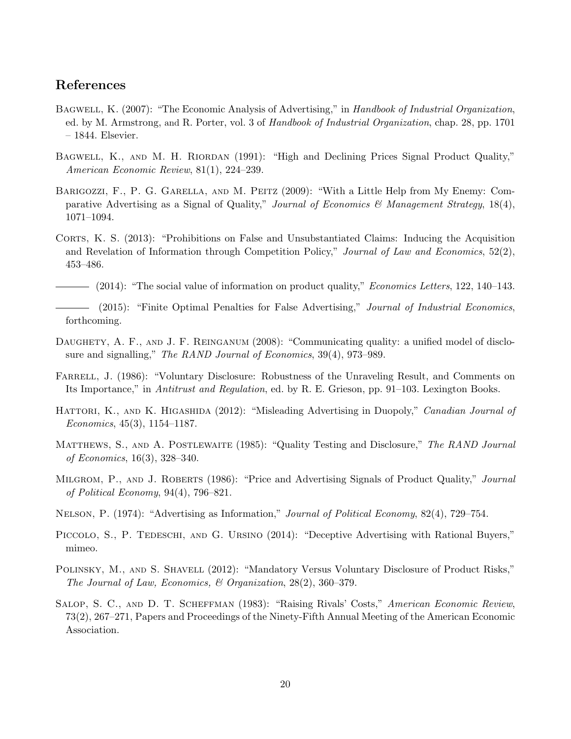# References

- <span id="page-21-13"></span>BAGWELL, K. (2007): "The Economic Analysis of Advertising," in Handbook of Industrial Organization, ed. by M. Armstrong, and R. Porter, vol. 3 of Handbook of Industrial Organization, chap. 28, pp. 1701 – 1844. Elsevier.
- <span id="page-21-3"></span>BAGWELL, K., AND M. H. RIORDAN (1991): "High and Declining Prices Signal Product Quality," American Economic Review, 81(1), 224–239.
- <span id="page-21-11"></span>BARIGOZZI, F., P. G. GARELLA, AND M. PEITZ (2009): "With a Little Help from My Enemy: Comparative Advertising as a Signal of Quality," Journal of Economics & Management Strategy, 18(4), 1071–1094.
- <span id="page-21-8"></span>CORTS, K. S. (2013): "Prohibitions on False and Unsubstantiated Claims: Inducing the Acquisition and Revelation of Information through Competition Policy," Journal of Law and Economics, 52(2), 453–486.
- <span id="page-21-9"></span>(2014): "The social value of information on product quality," *Economics Letters*, 122, 140–143.
- <span id="page-21-10"></span>- (2015): "Finite Optimal Penalties for False Advertising," Journal of Industrial Economics, forthcoming.
- <span id="page-21-5"></span>DAUGHETY, A. F., AND J. F. REINGANUM (2008): "Communicating quality: a unified model of disclosure and signalling," The RAND Journal of Economics, 39(4), 973–989.
- <span id="page-21-6"></span>FARRELL, J. (1986): "Voluntary Disclosure: Robustness of the Unraveling Result, and Comments on Its Importance," in Antitrust and Regulation, ed. by R. E. Grieson, pp. 91–103. Lexington Books.
- <span id="page-21-12"></span>HATTORI, K., AND K. HIGASHIDA (2012): "Misleading Advertising in Duopoly," Canadian Journal of Economics, 45(3), 1154–1187.
- <span id="page-21-7"></span>MATTHEWS, S., AND A. POSTLEWAITE (1985): "Quality Testing and Disclosure," The RAND Journal of Economics, 16(3), 328–340.
- <span id="page-21-2"></span>MILGROM, P., AND J. ROBERTS (1986): "Price and Advertising Signals of Product Quality," Journal of Political Economy, 94(4), 796–821.
- <span id="page-21-1"></span>NELSON, P. (1974): "Advertising as Information," *Journal of Political Economy*, 82(4), 729–754.
- <span id="page-21-14"></span>PICCOLO, S., P. TEDESCHI, AND G. URSINO (2014): "Deceptive Advertising with Rational Buyers," mimeo.
- <span id="page-21-4"></span>POLINSKY, M., AND S. SHAVELL (2012): "Mandatory Versus Voluntary Disclosure of Product Risks," The Journal of Law, Economics, & Organization,  $28(2)$ ,  $360-379$ .
- <span id="page-21-0"></span>SALOP, S. C., AND D. T. SCHEFFMAN (1983): "Raising Rivals' Costs," American Economic Review, 73(2), 267–271, Papers and Proceedings of the Ninety-Fifth Annual Meeting of the American Economic Association.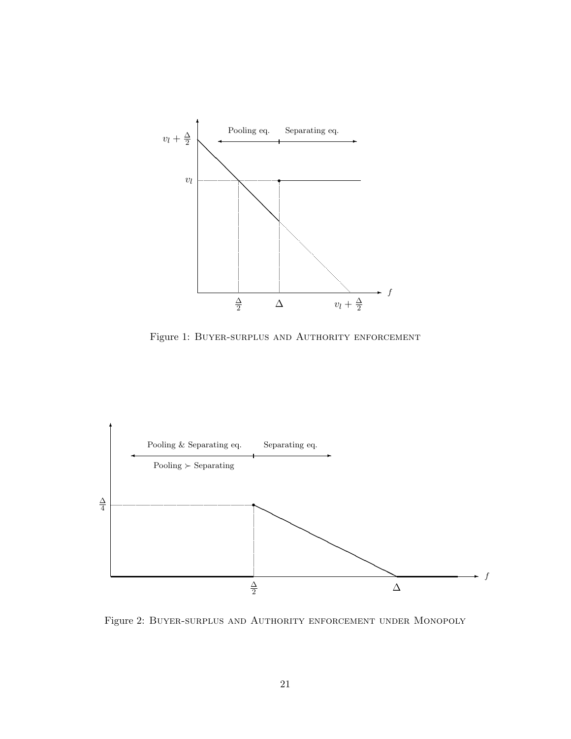

<span id="page-22-0"></span>Figure 1: BUYER-SURPLUS AND AUTHORITY ENFORCEMENT



<span id="page-22-1"></span>Figure 2: Buyer-surplus and Authority enforcement under Monopoly